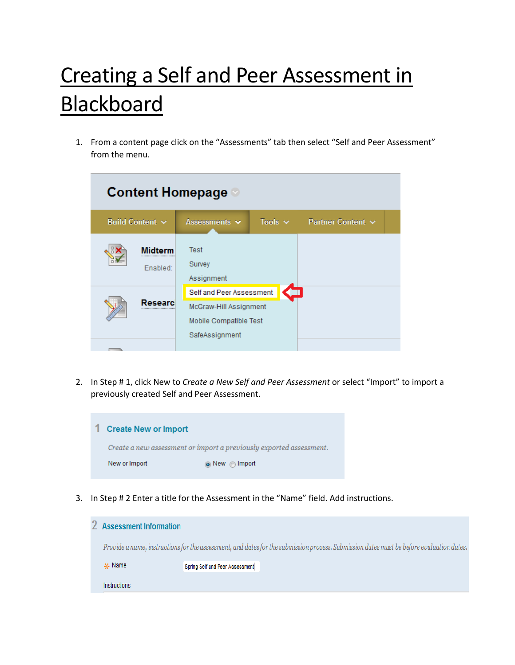## Creating a Self and Peer Assessment in **Blackboard**

1. From a content page click on the "Assessments" tab then select "Self and Peer Assessment" from the menu.

| <b>Content Homepage</b> |                                                                                                |                                     |  |
|-------------------------|------------------------------------------------------------------------------------------------|-------------------------------------|--|
| Build Content $\sim$    | Assessments $\sim$                                                                             | Tools $\vee$ Partner Content $\vee$ |  |
| lidterm<br><br>Enabled: | Test<br>Survey<br>Assignment                                                                   |                                     |  |
| ecean                   | Self and Peer Assessment<br>McGraw-Hill Assignment<br>Mobile Compatible Test<br>SafeAssignment |                                     |  |
|                         |                                                                                                |                                     |  |

2. In Step # 1, click New to *Create a New Self and Peer Assessment* or select "Import" to import a previously created Self and Peer Assessment.



3. In Step # 2 Enter a title for the Assessment in the "Name" field. Add instructions.

|  | <b>Assessment Information</b> |                                                                                                                                          |
|--|-------------------------------|------------------------------------------------------------------------------------------------------------------------------------------|
|  |                               | Provide a name, instructions for the assessment, and dates for the submission process. Submission dates must be before evaluation dates. |
|  | $\frac{1}{2}$ Name            | Spring Self and Peer Assessment                                                                                                          |
|  | Instructions                  |                                                                                                                                          |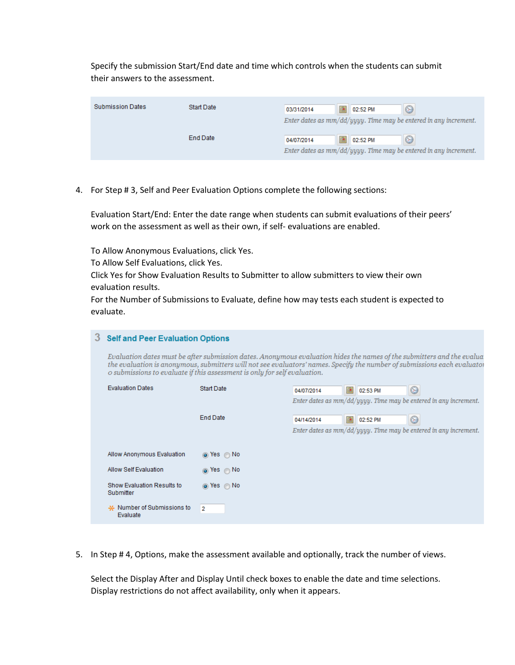Specify the submission Start/End date and time which controls when the students can submit their answers to the assessment.

| <b>Submission Dates</b> | <b>Start Date</b> | 03/31/2014 | 臝 | 02:52 PM | $\circledcirc$                                                      |
|-------------------------|-------------------|------------|---|----------|---------------------------------------------------------------------|
|                         |                   |            |   |          | Enter dates as $mm/dd/yyyy$ . Time may be entered in any increment. |
|                         | <b>End Date</b>   | 04/07/2014 | 圃 | 02:52 PM | ☺                                                                   |
|                         |                   |            |   |          | Enter dates as mm/dd/yyyy. Time may be entered in any increment.    |

4. For Step # 3, Self and Peer Evaluation Options complete the following sections:

Evaluation Start/End: Enter the date range when students can submit evaluations of their peers' work on the assessment as well as their own, if self- evaluations are enabled.

To Allow Anonymous Evaluations, click Yes.

To Allow Self Evaluations, click Yes.

Click Yes for Show Evaluation Results to Submitter to allow submitters to view their own evaluation results.

For the Number of Submissions to Evaluate, define how may tests each student is expected to evaluate.

## 3 Self and Peer Evaluation Options

Evaluation dates must be after submission dates. Anonymous evaluation hides the names of the submitters and the evalua the evaluation is anonymous, submitters will not see evaluators' names. Specify the number of submissions each evaluator o submissions to evaluate if this assessment is only for self evaluation.

| <b>Evaluation Dates</b>                 | <b>Start Date</b> | 圃<br>02:53 PM<br>O<br>04/07/2014                                                                        |
|-----------------------------------------|-------------------|---------------------------------------------------------------------------------------------------------|
|                                         | <b>End Date</b>   | Enter dates as $mm/dd/uyuy$ . Time may be entered in any increment.<br>O<br>圍<br>02:52 PM<br>04/14/2014 |
|                                         |                   | Enter dates as $mm/dd/uyuy$ . Time may be entered in any increment.                                     |
| Allow Anonymous Evaluation              | ⊚ Yes ∩ No        |                                                                                                         |
| Allow Self Evaluation                   | ⊚ Yes ⊜ No        |                                                                                                         |
| Show Evaluation Results to<br>Submitter | ⊚ Yes ⊜ No        |                                                                                                         |
| * Number of Submissions to<br>Evaluate  | $\overline{2}$    |                                                                                                         |

5. In Step # 4, Options, make the assessment available and optionally, track the number of views.

Select the Display After and Display Until check boxes to enable the date and time selections. Display restrictions do not affect availability, only when it appears.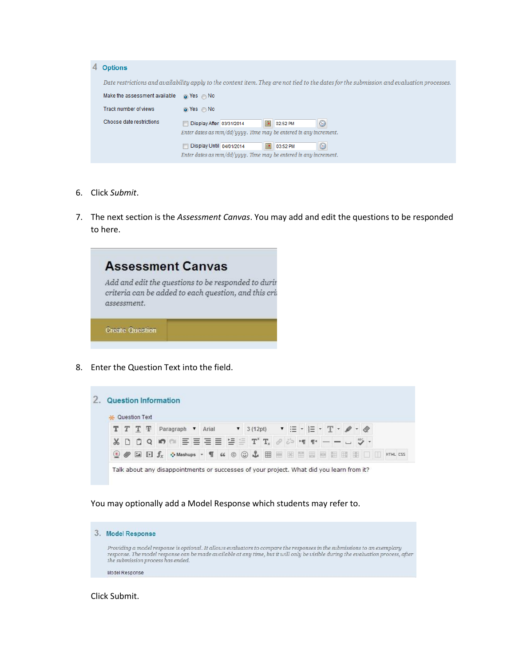| 4 | <b>Options</b>                |                                                                                                                                           |
|---|-------------------------------|-------------------------------------------------------------------------------------------------------------------------------------------|
|   |                               | Date restrictions and availability apply to the content item. They are not tied to the dates for the submission and evaluation processes. |
|   | Make the assessment available | ⊚ Yes ⊜ No                                                                                                                                |
|   | Track number of views         | ⊚ Yes ⊜ No                                                                                                                                |
|   | Choose date restrictions      | ☺<br>圃<br>Display After 03/31/2014<br>02:52 PM                                                                                            |
|   |                               | Enter dates as $mm/dd/uyuy$ . Time may be entered in any increment.                                                                       |
|   |                               | 圖<br>Display Until 04/01/2014<br>$\odot$<br>03:52 PM                                                                                      |
|   |                               | Enter dates as $mm/dd/uyuy$ . Time may be entered in any increment.                                                                       |

- 6. Click *Submit*.
- 7. The next section is the *Assessment Canvas*. You may add and edit the questions to be responded to here.



8. Enter the Question Text into the field.

|          | * Question Text |                           |  |              |       |  |                                                                                                                                                                                                                                                                                                                                                                                                                                                                                                                                                                   |  |  |  |  |  |          |
|----------|-----------------|---------------------------|--|--------------|-------|--|-------------------------------------------------------------------------------------------------------------------------------------------------------------------------------------------------------------------------------------------------------------------------------------------------------------------------------------------------------------------------------------------------------------------------------------------------------------------------------------------------------------------------------------------------------------------|--|--|--|--|--|----------|
|          |                 | $T$ $T$ $T$ $F$ Paragraph |  | $\mathbf{v}$ | Arial |  | ▼ 3(12pt) ▼ 三 - 三 - 三 - 丁 - ノ - 々                                                                                                                                                                                                                                                                                                                                                                                                                                                                                                                                 |  |  |  |  |  |          |
| $X \cap$ |                 |                           |  |              |       |  | $\begin{array}{c} 0 & Q & \text{in} \\ 0 & Q & \text{in} \end{array} \equiv \equiv \equiv \equiv \equiv \equiv \equiv \text{ } \mathbb{P}^{\text{r}} \text{ } \mathbb{T}_{\text{x}} \text{ } \mathcal{O} \text{ } \mathcal{D} \text{ } \text{ } \mathbb{P} \text{ } \mathbb{P} \text{ } \mathbb{P} \text{ } \mathbb{P} \text{ } \mathbb{P} \text{ } \mathbb{P} \text{ } \mathbb{P} \text{ } \mathbb{P} \text{ } \mathbb{P} \text{ } \mathbb{P} \text{ } \mathbb{P} \text$                                                                                         |  |  |  |  |  |          |
|          |                 |                           |  |              |       |  | $\textcircled{\tiny{\bullet}}\hspace{0.1cm}\textcircled{\tiny{\bullet}}\hspace{0.1cm}\textcircled{\tiny{\bullet}}\hspace{0.1cm}\textcircled{\tiny{\bullet}}\hspace{0.1cm}\textcircled{\tiny{\bullet}}\hspace{0.1cm}\textcircled{\tiny{\bullet}}\hspace{0.1cm}\textcircled{\tiny{\bullet}}\hspace{0.1cm}\textcircled{\tiny{\bullet}}\hspace{0.1cm}\textcircled{\tiny{\bullet}}\hspace{0.1cm}\textcircled{\tiny{\bullet}}\hspace{0.1cm}\textcircled{\tiny{\bullet}}\hspace{0.1cm}\textcircled{\tiny{\bullet}}\hspace{0.1cm}\textcircled{\tiny{\bullet}}\hspace{0.1$ |  |  |  |  |  | HTML CSS |

You may optionally add a Model Response which students may refer to.

3. Model Response Providing a model response is optional. It allows evaluators to compare the responses in the submissions to an exemplary<br>response. The model response can be made available at any time, but it will only be visible during th Model Response

Click Submit.